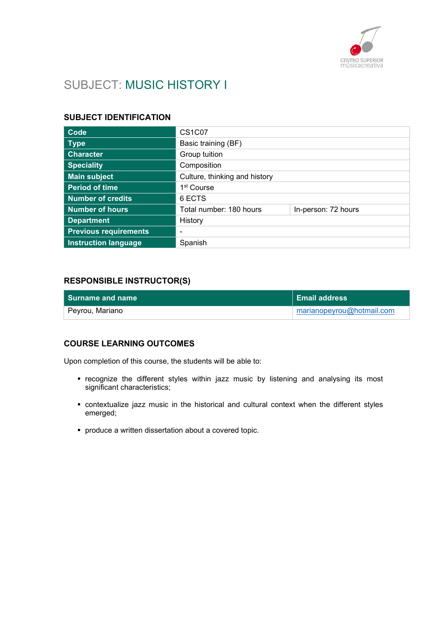

# SUBJECT: MUSIC HISTORY I

#### SUBJECT IDENTIFICATION

| Code                         | <b>CS1C07</b>                 |                     |
|------------------------------|-------------------------------|---------------------|
| <b>Type</b>                  | Basic training (BF)           |                     |
| <b>Character</b>             | Group tuition                 |                     |
| <b>Speciality</b>            | Composition                   |                     |
| <b>Main subject</b>          | Culture, thinking and history |                     |
| <b>Period of time</b>        | 1 <sup>st</sup> Course        |                     |
| <b>Number of credits</b>     | 6 ECTS                        |                     |
| <b>Number of hours</b>       | Total number: 180 hours       | In-person: 72 hours |
| <b>Department</b>            | History                       |                     |
| <b>Previous requirements</b> |                               |                     |
| <b>Instruction language</b>  | Spanish                       |                     |

#### RESPONSIBLE INSTRUCTOR(S)

| <b>Surname and name</b> | <b>Email address</b>      |
|-------------------------|---------------------------|
| Peyrou, Mariano         | marianopeyrou@hotmail.com |

#### COURSE LEARNING OUTCOMES

Upon completion of this course, the students will be able to:

- recognize the different styles within jazz music by listening and analysing its most significant characteristics;
- contextualize jazz music in the historical and cultural context when the different styles emerged;
- produce a written dissertation about a covered topic.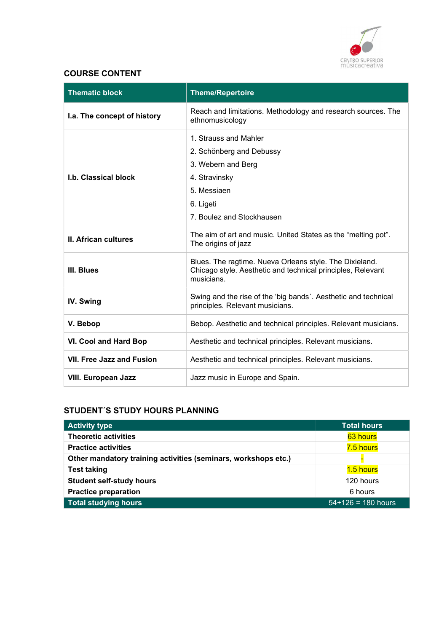

## COURSE CONTENT

| <b>Thematic block</b>            | <b>Theme/Repertoire</b>                                                                                                                           |
|----------------------------------|---------------------------------------------------------------------------------------------------------------------------------------------------|
| I.a. The concept of history      | Reach and limitations. Methodology and research sources. The<br>ethnomusicology                                                                   |
| <b>I.b. Classical block</b>      | 1. Strauss and Mahler<br>2. Schönberg and Debussy<br>3. Webern and Berg<br>4. Stravinsky<br>5. Messiaen<br>6. Ligeti<br>7. Boulez and Stockhausen |
| <b>II. African cultures</b>      | The aim of art and music. United States as the "melting pot".<br>The origins of jazz                                                              |
| III. Blues                       | Blues. The ragtime. Nueva Orleans style. The Dixieland.<br>Chicago style. Aesthetic and technical principles, Relevant<br>musicians.              |
| IV. Swing                        | Swing and the rise of the 'big bands'. Aesthetic and technical<br>principles. Relevant musicians.                                                 |
| V. Bebop                         | Bebop. Aesthetic and technical principles. Relevant musicians.                                                                                    |
| <b>VI. Cool and Hard Bop</b>     | Aesthetic and technical principles. Relevant musicians.                                                                                           |
| <b>VII. Free Jazz and Fusion</b> | Aesthetic and technical principles. Relevant musicians.                                                                                           |
| <b>VIII. European Jazz</b>       | Jazz music in Europe and Spain.                                                                                                                   |

# STUDENT´S STUDY HOURS PLANNING

| <b>Activity type</b>                                           | <b>Total hours</b>   |
|----------------------------------------------------------------|----------------------|
| <b>Theoretic activities</b>                                    | 63 hours             |
| <b>Practice activities</b>                                     | 7.5 hours            |
| Other mandatory training activities (seminars, workshops etc.) |                      |
| <b>Test taking</b>                                             | 1.5 hours            |
| <b>Student self-study hours</b>                                | 120 hours            |
| <b>Practice preparation</b>                                    | 6 hours              |
| <b>Total studying hours</b>                                    | $54+126 = 180$ hours |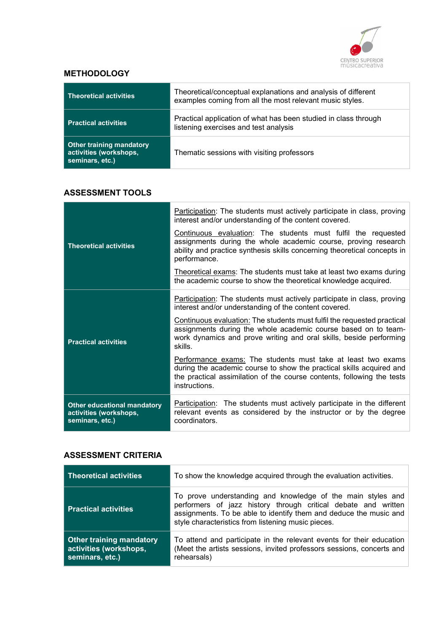

### **METHODOLOGY**

| <b>Theoretical activities</b>                                                | Theoretical/conceptual explanations and analysis of different<br>examples coming from all the most relevant music styles. |
|------------------------------------------------------------------------------|---------------------------------------------------------------------------------------------------------------------------|
| <b>Practical activities</b>                                                  | Practical application of what has been studied in class through<br>listening exercises and test analysis                  |
| <b>Other training mandatory</b><br>activities (workshops,<br>seminars, etc.) | Thematic sessions with visiting professors                                                                                |

# ASSESSMENT TOOLS

|                                                                                 | Participation: The students must actively participate in class, proving<br>interest and/or understanding of the content covered.                                                                                                |
|---------------------------------------------------------------------------------|---------------------------------------------------------------------------------------------------------------------------------------------------------------------------------------------------------------------------------|
| <b>Theoretical activities</b>                                                   | Continuous evaluation: The students must fulfil the requested<br>assignments during the whole academic course, proving research<br>ability and practice synthesis skills concerning theoretical concepts in<br>performance.     |
|                                                                                 | Theoretical exams: The students must take at least two exams during<br>the academic course to show the theoretical knowledge acquired.                                                                                          |
| <b>Practical activities</b>                                                     | Participation: The students must actively participate in class, proving<br>interest and/or understanding of the content covered.                                                                                                |
|                                                                                 | Continuous evaluation: The students must fulfil the requested practical<br>assignments during the whole academic course based on to team-<br>work dynamics and prove writing and oral skills, beside performing<br>skills.      |
|                                                                                 | Performance exams: The students must take at least two exams<br>during the academic course to show the practical skills acquired and<br>the practical assimilation of the course contents, following the tests<br>instructions. |
| <b>Other educational mandatory</b><br>activities (workshops,<br>seminars, etc.) | Participation: The students must actively participate in the different<br>relevant events as considered by the instructor or by the degree<br>coordinators.                                                                     |

#### ASSESSMENT CRITERIA

| <b>Theoretical activities</b>                                                | To show the knowledge acquired through the evaluation activities.                                                                                                                                                                                        |
|------------------------------------------------------------------------------|----------------------------------------------------------------------------------------------------------------------------------------------------------------------------------------------------------------------------------------------------------|
| <b>Practical activities</b>                                                  | To prove understanding and knowledge of the main styles and<br>performers of jazz history through critical debate and written<br>assignments. To be able to identify them and deduce the music and<br>style characteristics from listening music pieces. |
| <b>Other training mandatory</b><br>activities (workshops,<br>seminars, etc.) | To attend and participate in the relevant events for their education<br>(Meet the artists sessions, invited professors sessions, concerts and<br>rehearsals)                                                                                             |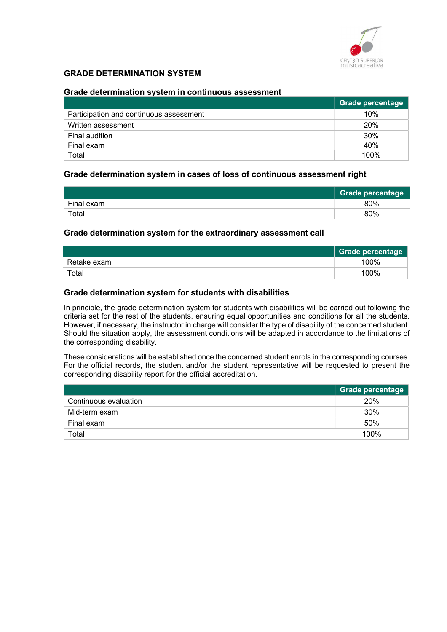

#### GRADE DETERMINATION SYSTEM

#### Grade determination system in continuous assessment

|                                         | <b>Grade percentage</b> |
|-----------------------------------------|-------------------------|
| Participation and continuous assessment | 10%                     |
| Written assessment                      | 20%                     |
| Final audition                          | 30%                     |
| Final exam                              | 40%                     |
| Total                                   | 100%                    |

#### Grade determination system in cases of loss of continuous assessment right

|            | <b>Grade percentage</b> |
|------------|-------------------------|
| Final exam | 80%                     |
| Total      | 80%                     |

#### Grade determination system for the extraordinary assessment call

|             | <b>Grade percentage</b> |
|-------------|-------------------------|
| Retake exam | 100%                    |
| Total       | 100%                    |

#### Grade determination system for students with disabilities

In principle, the grade determination system for students with disabilities will be carried out following the criteria set for the rest of the students, ensuring equal opportunities and conditions for all the students. However, if necessary, the instructor in charge will consider the type of disability of the concerned student. Should the situation apply, the assessment conditions will be adapted in accordance to the limitations of the corresponding disability.

These considerations will be established once the concerned student enrols in the corresponding courses. For the official records, the student and/or the student representative will be requested to present the corresponding disability report for the official accreditation.

|                       | <b>Grade percentage</b> |
|-----------------------|-------------------------|
| Continuous evaluation | 20%                     |
| Mid-term exam         | 30%                     |
| Final exam            | 50%                     |
| Total                 | 100%                    |